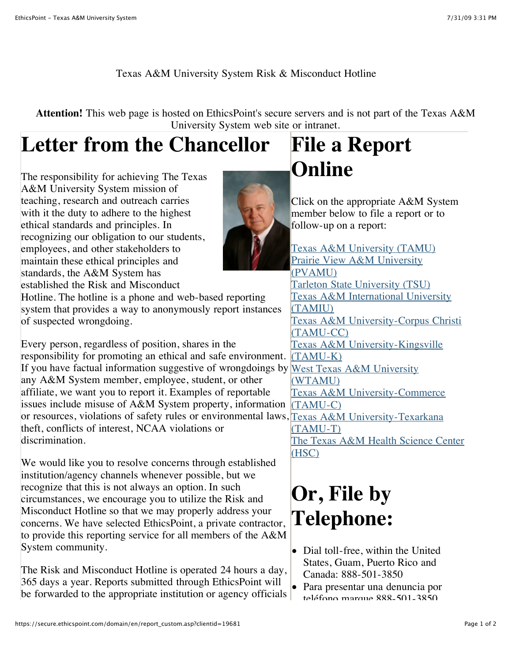### Texas A&M University System Risk & Misconduct Hotline

**Attention!** This web page is hosted on EthicsPoint's secure servers and is not part of the Texas A&M University System web site or intranet.

### **Letter from the Chancellor**

The responsibility for achieving The Texas A&M University System mission of teaching, research and outreach carries with it the duty to adhere to the highest ethical standards and principles. In recognizing our obligation to our students, employees, and other stakeholders to maintain these ethical principles and standards, the A&M System has established the Risk and Misconduct



Hotline. The hotline is a phone and web-based reporting system that provides a way to anonymously report instances of suspected wrongdoing.

Every person, regardless of position, shares in the responsibility for promoting an ethical and safe environment. If you have factual information suggestive of wrongdoings by [West Texas A&M University](https://secure.ethicspoint.com/domain/en/report_custom.asp?clientid=20502) any A&M System member, employee, student, or other affiliate, we want you to report it. Examples of reportable issues include misuse of A&M System property, information or resources, violations of safety rules or environmental laws, [Texas A&M University-Texarkana](https://secure.ethicspoint.com/domain/en/report_custom.asp?clientid=20505) theft, conflicts of interest, NCAA violations or discrimination.

We would like you to resolve concerns through established institution/agency channels whenever possible, but we recognize that this is not always an option. In such circumstances, we encourage you to utilize the Risk and Misconduct Hotline so that we may properly address your concerns. We have selected EthicsPoint, a private contractor, to provide this reporting service for all members of the A&M System community.

The Risk and Misconduct Hotline is operated 24 hours a day, 365 days a year. Reports submitted through EthicsPoint will be forwarded to the appropriate institution or agency officials

## **File a Report Online**

Click on the appropriate A&M System member below to file a report or to follow-up on a report:

[Texas A&M University \(TAMU\)](https://secure.ethicspoint.com/domain/en/report_custom.asp?clientid=20488) [Prairie View A&M University](https://secure.ethicspoint.com/domain/en/report_custom.asp?clientid=20491) (PVAMU) [Tarleton State University \(TSU\)](https://secure.ethicspoint.com/domain/en/report_custom.asp?clientid=20490) [Texas A&M International University](https://secure.ethicspoint.com/domain/en/report_custom.asp?clientid=20500) (TAMIU) [Texas A&M University-Corpus Christi](https://secure.ethicspoint.com/domain/en/report_custom.asp?clientid=20499) (TAMU-CC) [Texas A&M University-Kingsville](https://secure.ethicspoint.com/domain/en/report_custom.asp?clientid=20501) (TAMU-K) (WTAMU) [Texas A&M University-Commerce](https://secure.ethicspoint.com/domain/en/report_custom.asp?clientid=20504) (TAMU-C) (TAMU-T) [The Texas A&M Health Science Center](https://secure.ethicspoint.com/domain/en/report_custom.asp?clientid=20489) (HSC)

# **Or, File by Telephone:**

- Dial toll-free, within the United States, Guam, Puerto Rico and Canada: 888-501-3850
- Para presentar una denuncia por  $t$ eléfono marque 888-501-3850